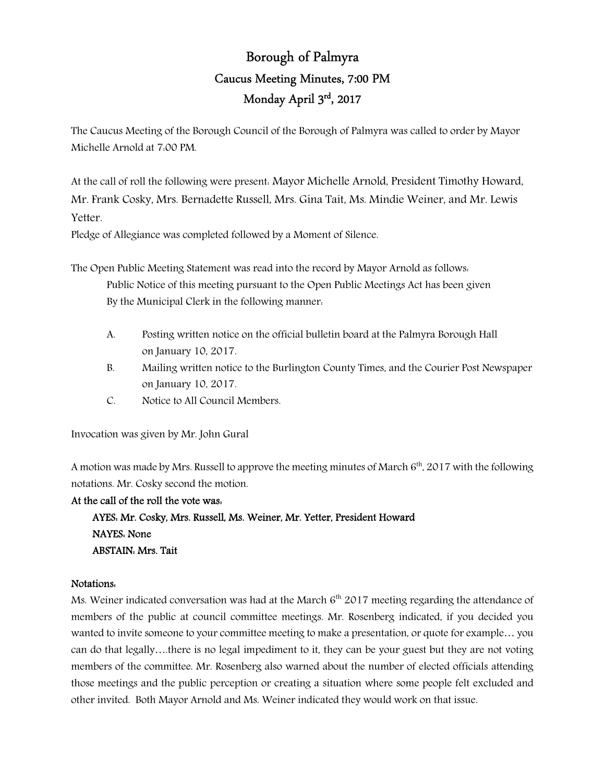# Borough of Palmyra Caucus Meeting Minutes, 7:00 PM Monday April 3rd, 2017

The Caucus Meeting of the Borough Council of the Borough of Palmyra was called to order by Mayor Michelle Arnold at 7:00 PM.

At the call of roll the following were present: Mayor Michelle Arnold, President Timothy Howard, Mr. Frank Cosky, Mrs. Bernadette Russell, Mrs. Gina Tait, Ms. Mindie Weiner, and Mr. Lewis Yetter.

Pledge of Allegiance was completed followed by a Moment of Silence.

The Open Public Meeting Statement was read into the record by Mayor Arnold as follows: Public Notice of this meeting pursuant to the Open Public Meetings Act has been given By the Municipal Clerk in the following manner:

- A. Posting written notice on the official bulletin board at the Palmyra Borough Hall on January 10, 2017.
- B. Mailing written notice to the Burlington County Times, and the Courier Post Newspaper on January 10, 2017.
- C. Notice to All Council Members.

Invocation was given by Mr. John Gural

A motion was made by Mrs. Russell to approve the meeting minutes of March  $6<sup>th</sup>$ , 2017 with the following notations. Mr. Cosky second the motion.

# At the call of the roll the vote was:

 AYES: Mr. Cosky, Mrs. Russell, Ms. Weiner, Mr. Yetter, President Howard NAYES: None ABSTAIN: Mrs. Tait

# Notations:

Ms. Weiner indicated conversation was had at the March  $6<sup>th</sup>$  2017 meeting regarding the attendance of members of the public at council committee meetings. Mr. Rosenberg indicated, if you decided you wanted to invite someone to your committee meeting to make a presentation, or quote for example… you can do that legally….there is no legal impediment to it, they can be your guest but they are not voting members of the committee. Mr. Rosenberg also warned about the number of elected officials attending those meetings and the public perception or creating a situation where some people felt excluded and other invited. Both Mayor Arnold and Ms. Weiner indicated they would work on that issue.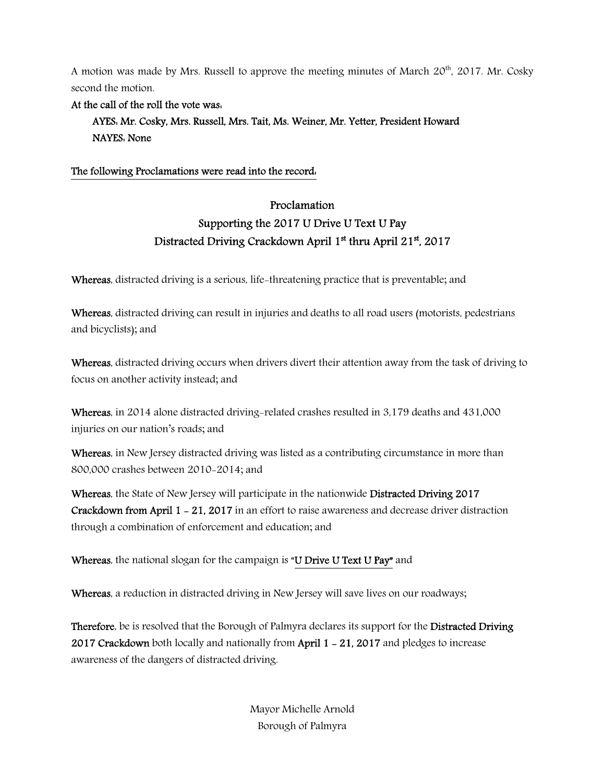A motion was made by Mrs. Russell to approve the meeting minutes of March  $20<sup>th</sup>$ ,  $2017$ . Mr. Cosky second the motion.

### At the call of the roll the vote was:

 AYES: Mr. Cosky, Mrs. Russell, Mrs. Tait, Ms. Weiner, Mr. Yetter, President Howard NAYES: None

# The following Proclamations were read into the record:

# Proclamation Supporting the 2017 U Drive U Text U Pay Distracted Driving Crackdown April 1<sup>st</sup> thru April 21<sup>st</sup>, 2017

Whereas, distracted driving is a serious, life-threatening practice that is preventable; and

Whereas, distracted driving can result in injuries and deaths to all road users (motorists, pedestrians and bicyclists); and

Whereas, distracted driving occurs when drivers divert their attention away from the task of driving to focus on another activity instead; and

Whereas, in 2014 alone distracted driving-related crashes resulted in 3,179 deaths and 431,000 injuries on our nation's roads; and

Whereas, in New Jersey distracted driving was listed as a contributing circumstance in more than 800,000 crashes between 2010-2014; and

Whereas, the State of New Jersey will participate in the nationwide Distracted Driving 2017 Crackdown from April 1 - 21, 2017 in an effort to raise awareness and decrease driver distraction through a combination of enforcement and education; and

Whereas, the national slogan for the campaign is "U Drive U Text U Pay" and

Whereas, a reduction in distracted driving in New Jersey will save lives on our roadways;

Therefore, be is resolved that the Borough of Palmyra declares its support for the Distracted Driving 2017 Crackdown both locally and nationally from April 1 - 21, 2017 and pledges to increase awareness of the dangers of distracted driving.

> Mayor Michelle Arnold Borough of Palmyra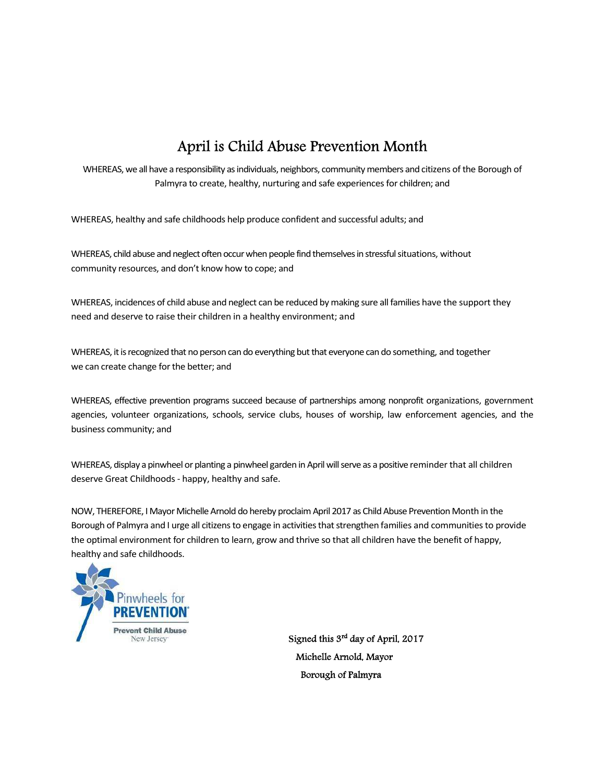# April is Child Abuse Prevention Month

WHEREAS, we all have a responsibility as individuals, neighbors, community members and citizens of the Borough of Palmyra to create, healthy, nurturing and safe experiences for children; and

WHEREAS, healthy and safe childhoods help produce confident and successful adults; and

WHEREAS, child abuse and neglect often occur when people find themselves in stressful situations, without community resources, and don't know how to cope; and

WHEREAS, incidences of child abuse and neglect can be reduced by making sure all families have the support they need and deserve to raise their children in a healthy environment; and

WHEREAS, it is recognized that no person can do everything but that everyone can do something, and together we can create change for the better; and

WHEREAS, effective prevention programs succeed because of partnerships among nonprofit organizations, government agencies, volunteer organizations, schools, service clubs, houses of worship, law enforcement agencies, and the business community; and

WHEREAS, display a pinwheel or planting a pinwheel garden in April will serve as a positive reminder that all children deserve Great Childhoods - happy, healthy and safe.

NOW, THEREFORE, I Mayor Michelle Arnold do hereby proclaim April 2017 as Child Abuse Prevention Month in the Borough of Palmyra and I urge all citizens to engage in activities that strengthen families and communities to provide the optimal environment for children to learn, grow and thrive so that all children have the benefit of happy, healthy and safe childhoods.



Signed this 3<sup>rd</sup> day of April, 2017 Michelle Arnold, Mayor Borough of Palmyra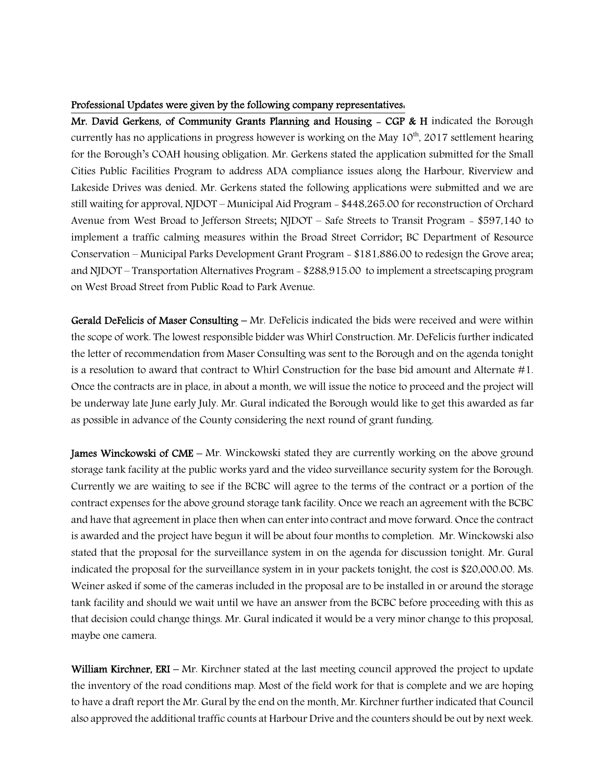#### Professional Updates were given by the following company representatives:

Mr. David Gerkens, of Community Grants Planning and Housing  $-$  CGP & H indicated the Borough currently has no applications in progress however is working on the May  $10^{th}$ , 2017 settlement hearing for the Borough's COAH housing obligation. Mr. Gerkens stated the application submitted for the Small Cities Public Facilities Program to address ADA compliance issues along the Harbour, Riverview and Lakeside Drives was denied. Mr. Gerkens stated the following applications were submitted and we are still waiting for approval, NJDOT – Municipal Aid Program - \$448,265.00 for reconstruction of Orchard Avenue from West Broad to Jefferson Streets; NJDOT – Safe Streets to Transit Program - \$597,140 to implement a traffic calming measures within the Broad Street Corridor; BC Department of Resource Conservation – Municipal Parks Development Grant Program - \$181,886.00 to redesign the Grove area; and NJDOT – Transportation Alternatives Program - \$288,915.00 to implement a streetscaping program on West Broad Street from Public Road to Park Avenue.

Gerald DeFelicis of Maser Consulting – Mr. DeFelicis indicated the bids were received and were within the scope of work. The lowest responsible bidder was Whirl Construction. Mr. DeFelicis further indicated the letter of recommendation from Maser Consulting was sent to the Borough and on the agenda tonight is a resolution to award that contract to Whirl Construction for the base bid amount and Alternate #1. Once the contracts are in place, in about a month, we will issue the notice to proceed and the project will be underway late June early July. Mr. Gural indicated the Borough would like to get this awarded as far as possible in advance of the County considering the next round of grant funding.

**James Winckowski of CME** – Mr. Winckowski stated they are currently working on the above ground storage tank facility at the public works yard and the video surveillance security system for the Borough. Currently we are waiting to see if the BCBC will agree to the terms of the contract or a portion of the contract expenses for the above ground storage tank facility. Once we reach an agreement with the BCBC and have that agreement in place then when can enter into contract and move forward. Once the contract is awarded and the project have begun it will be about four months to completion. Mr. Winckowski also stated that the proposal for the surveillance system in on the agenda for discussion tonight. Mr. Gural indicated the proposal for the surveillance system in in your packets tonight, the cost is \$20,000.00. Ms. Weiner asked if some of the cameras included in the proposal are to be installed in or around the storage tank facility and should we wait until we have an answer from the BCBC before proceeding with this as that decision could change things. Mr. Gural indicated it would be a very minor change to this proposal, maybe one camera.

William Kirchner, ERI – Mr. Kirchner stated at the last meeting council approved the project to update the inventory of the road conditions map. Most of the field work for that is complete and we are hoping to have a draft report the Mr. Gural by the end on the month. Mr. Kirchner further indicated that Council also approved the additional traffic counts at Harbour Drive and the counters should be out by next week.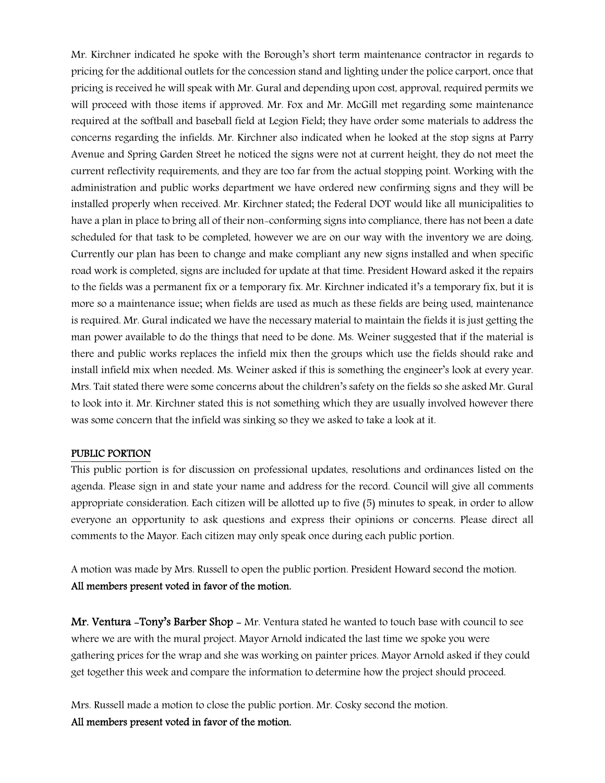Mr. Kirchner indicated he spoke with the Borough's short term maintenance contractor in regards to pricing for the additional outlets for the concession stand and lighting under the police carport, once that pricing is received he will speak with Mr. Gural and depending upon cost, approval, required permits we will proceed with those items if approved. Mr. Fox and Mr. McGill met regarding some maintenance required at the softball and baseball field at Legion Field; they have order some materials to address the concerns regarding the infields. Mr. Kirchner also indicated when he looked at the stop signs at Parry Avenue and Spring Garden Street he noticed the signs were not at current height, they do not meet the current reflectivity requirements, and they are too far from the actual stopping point. Working with the administration and public works department we have ordered new confirming signs and they will be installed properly when received. Mr. Kirchner stated; the Federal DOT would like all municipalities to have a plan in place to bring all of their non-conforming signs into compliance, there has not been a date scheduled for that task to be completed, however we are on our way with the inventory we are doing. Currently our plan has been to change and make compliant any new signs installed and when specific road work is completed, signs are included for update at that time. President Howard asked it the repairs to the fields was a permanent fix or a temporary fix. Mr. Kirchner indicated it's a temporary fix, but it is more so a maintenance issue; when fields are used as much as these fields are being used, maintenance is required. Mr. Gural indicated we have the necessary material to maintain the fields it is just getting the man power available to do the things that need to be done. Ms. Weiner suggested that if the material is there and public works replaces the infield mix then the groups which use the fields should rake and install infield mix when needed. Ms. Weiner asked if this is something the engineer's look at every year. Mrs. Tait stated there were some concerns about the children's safety on the fields so she asked Mr. Gural to look into it. Mr. Kirchner stated this is not something which they are usually involved however there was some concern that the infield was sinking so they we asked to take a look at it.

#### PUBLIC PORTION

This public portion is for discussion on professional updates, resolutions and ordinances listed on the agenda. Please sign in and state your name and address for the record. Council will give all comments appropriate consideration. Each citizen will be allotted up to five (5) minutes to speak, in order to allow everyone an opportunity to ask questions and express their opinions or concerns. Please direct all comments to the Mayor. Each citizen may only speak once during each public portion.

A motion was made by Mrs. Russell to open the public portion. President Howard second the motion. All members present voted in favor of the motion.

Mr. Ventura -Tony's Barber Shop - Mr. Ventura stated he wanted to touch base with council to see where we are with the mural project. Mayor Arnold indicated the last time we spoke you were gathering prices for the wrap and she was working on painter prices. Mayor Arnold asked if they could get together this week and compare the information to determine how the project should proceed.

Mrs. Russell made a motion to close the public portion. Mr. Cosky second the motion. All members present voted in favor of the motion.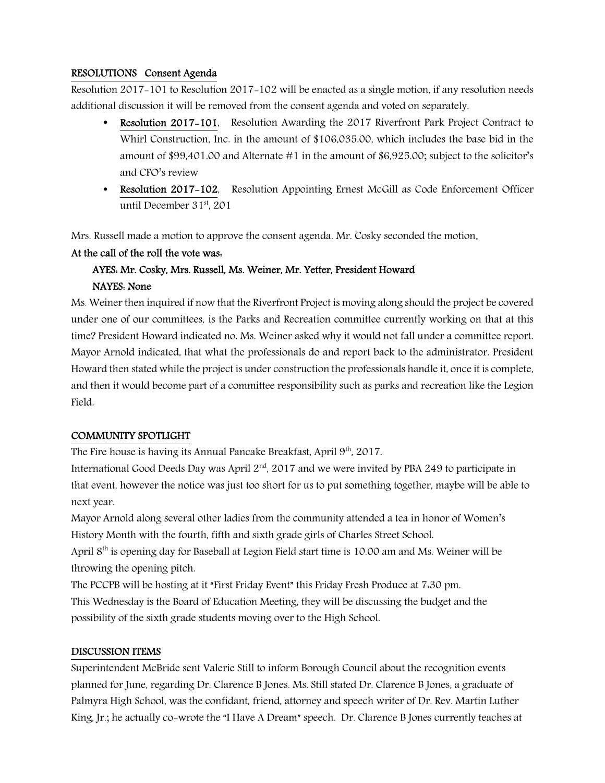### RESOLUTIONS Consent Agenda

Resolution 2017-101 to Resolution 2017-102 will be enacted as a single motion, if any resolution needs additional discussion it will be removed from the consent agenda and voted on separately.

- Resolution 2017–101, Resolution Awarding the 2017 Riverfront Park Project Contract to Whirl Construction, Inc. in the amount of \$106,035.00, which includes the base bid in the amount of \$99,401.00 and Alternate #1 in the amount of \$6,925.00; subject to the solicitor's and CFO's review
- Resolution 2017-102, Resolution Appointing Ernest McGill as Code Enforcement Officer until December  $31<sup>st</sup>$ , 201

Mrs. Russell made a motion to approve the consent agenda. Mr. Cosky seconded the motion.

#### At the call of the roll the vote was:

# AYES: Mr. Cosky, Mrs. Russell, Ms. Weiner, Mr. Yetter, President Howard NAYES: None

Ms. Weiner then inquired if now that the Riverfront Project is moving along should the project be covered under one of our committees, is the Parks and Recreation committee currently working on that at this time? President Howard indicated no. Ms. Weiner asked why it would not fall under a committee report. Mayor Arnold indicated, that what the professionals do and report back to the administrator. President Howard then stated while the project is under construction the professionals handle it, once it is complete, and then it would become part of a committee responsibility such as parks and recreation like the Legion Field.

# COMMUNITY SPOTLIGHT

The Fire house is having its Annual Pancake Breakfast, April 9<sup>th</sup>, 2017.

International Good Deeds Day was April  $2<sup>nd</sup>$ , 2017 and we were invited by PBA 249 to participate in that event, however the notice was just too short for us to put something together, maybe will be able to next year.

Mayor Arnold along several other ladies from the community attended a tea in honor of Women's History Month with the fourth, fifth and sixth grade girls of Charles Street School.

April 8th is opening day for Baseball at Legion Field start time is 10.00 am and Ms. Weiner will be throwing the opening pitch.

The PCCPB will be hosting at it "First Friday Event" this Friday Fresh Produce at 7:30 pm. This Wednesday is the Board of Education Meeting, they will be discussing the budget and the possibility of the sixth grade students moving over to the High School.

#### DISCUSSION ITEMS

Superintendent McBride sent Valerie Still to inform Borough Council about the recognition events planned for June, regarding Dr. Clarence B Jones. Ms. Still stated Dr. Clarence B Jones, a graduate of Palmyra High School, was the confidant, friend, attorney and speech writer of Dr. Rev. Martin Luther King, Jr.; he actually co-wrote the "I Have A Dream" speech. Dr. Clarence B Jones currently teaches at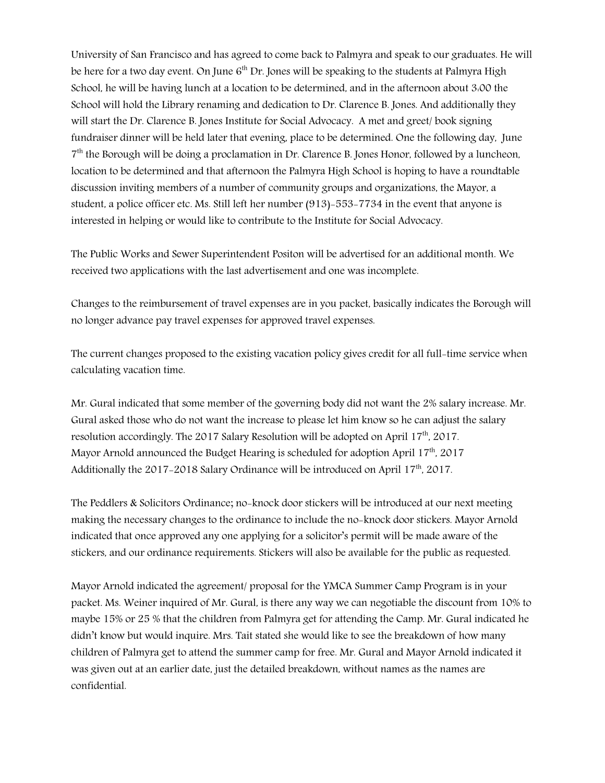University of San Francisco and has agreed to come back to Palmyra and speak to our graduates. He will be here for a two day event. On June  $6<sup>th</sup>$  Dr. Jones will be speaking to the students at Palmyra High School, he will be having lunch at a location to be determined, and in the afternoon about 3:00 the School will hold the Library renaming and dedication to Dr. Clarence B. Jones. And additionally they will start the Dr. Clarence B. Jones Institute for Social Advocacy. A met and greet/ book signing fundraiser dinner will be held later that evening, place to be determined. One the following day, June 7 th the Borough will be doing a proclamation in Dr. Clarence B. Jones Honor, followed by a luncheon, location to be determined and that afternoon the Palmyra High School is hoping to have a roundtable discussion inviting members of a number of community groups and organizations, the Mayor, a student, a police officer etc. Ms. Still left her number (913)-553-7734 in the event that anyone is interested in helping or would like to contribute to the Institute for Social Advocacy.

The Public Works and Sewer Superintendent Positon will be advertised for an additional month. We received two applications with the last advertisement and one was incomplete.

Changes to the reimbursement of travel expenses are in you packet, basically indicates the Borough will no longer advance pay travel expenses for approved travel expenses.

The current changes proposed to the existing vacation policy gives credit for all full-time service when calculating vacation time.

Mr. Gural indicated that some member of the governing body did not want the 2% salary increase. Mr. Gural asked those who do not want the increase to please let him know so he can adjust the salary resolution accordingly. The 2017 Salary Resolution will be adopted on April 17<sup>th</sup>, 2017. Mayor Arnold announced the Budget Hearing is scheduled for adoption April 17<sup>th</sup>, 2017 Additionally the 2017-2018 Salary Ordinance will be introduced on April 17<sup>th</sup>, 2017.

The Peddlers & Solicitors Ordinance; no-knock door stickers will be introduced at our next meeting making the necessary changes to the ordinance to include the no-knock door stickers. Mayor Arnold indicated that once approved any one applying for a solicitor's permit will be made aware of the stickers, and our ordinance requirements. Stickers will also be available for the public as requested.

Mayor Arnold indicated the agreement/ proposal for the YMCA Summer Camp Program is in your packet. Ms. Weiner inquired of Mr. Gural, is there any way we can negotiable the discount from 10% to maybe 15% or 25 % that the children from Palmyra get for attending the Camp. Mr. Gural indicated he didn't know but would inquire. Mrs. Tait stated she would like to see the breakdown of how many children of Palmyra get to attend the summer camp for free. Mr. Gural and Mayor Arnold indicated it was given out at an earlier date, just the detailed breakdown, without names as the names are confidential.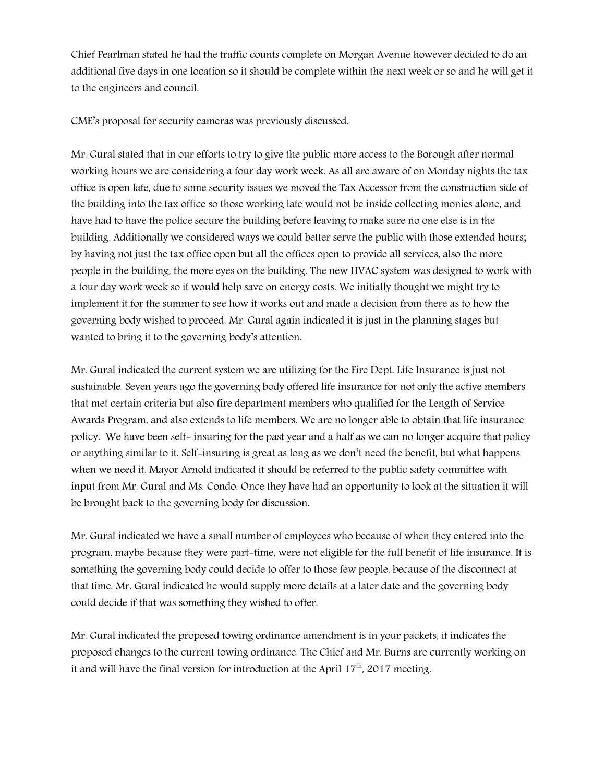Chief Pearlman stated he had the traffic counts complete on Morgan Avenue however decided to do an additional five days in one location so it should be complete within the next week or so and he will get it to the engineers and council.

CME's proposal for security cameras was previously discussed.

Mr. Gural stated that in our efforts to try to give the public more access to the Borough after normal working hours we are considering a four day work week. As all are aware of on Monday nights the tax office is open late, due to some security issues we moved the Tax Accessor from the construction side of the building into the tax office so those working late would not be inside collecting monies alone, and have had to have the police secure the building before leaving to make sure no one else is in the building. Additionally we considered ways we could better serve the public with those extended hours; by having not just the tax office open but all the offices open to provide all services, also the more people in the building, the more eyes on the building. The new HVAC system was designed to work with a four day work week so it would help save on energy costs. We initially thought we might try to implement it for the summer to see how it works out and made a decision from there as to how the governing body wished to proceed. Mr. Gural again indicated it is just in the planning stages but wanted to bring it to the governing body's attention.

Mr. Gural indicated the current system we are utilizing for the Fire Dept. Life Insurance is just not sustainable. Seven years ago the governing body offered life insurance for not only the active members that met certain criteria but also fire department members who qualified for the Length of Service Awards Program, and also extends to life members. We are no longer able to obtain that life insurance policy. We have been self- insuring for the past year and a half as we can no longer acquire that policy or anything similar to it. Self-insuring is great as long as we don't need the benefit, but what happens when we need it. Mayor Arnold indicated it should be referred to the public safety committee with input from Mr. Gural and Ms. Condo. Once they have had an opportunity to look at the situation it will be brought back to the governing body for discussion.

Mr. Gural indicated we have a small number of employees who because of when they entered into the program, maybe because they were part-time, were not eligible for the full benefit of life insurance. It is something the governing body could decide to offer to those few people, because of the disconnect at that time. Mr. Gural indicated he would supply more details at a later date and the governing body could decide if that was something they wished to offer.

Mr. Gural indicated the proposed towing ordinance amendment is in your packets, it indicates the proposed changes to the current towing ordinance. The Chief and Mr. Burns are currently working on it and will have the final version for introduction at the April  $17<sup>th</sup>$ , 2017 meeting.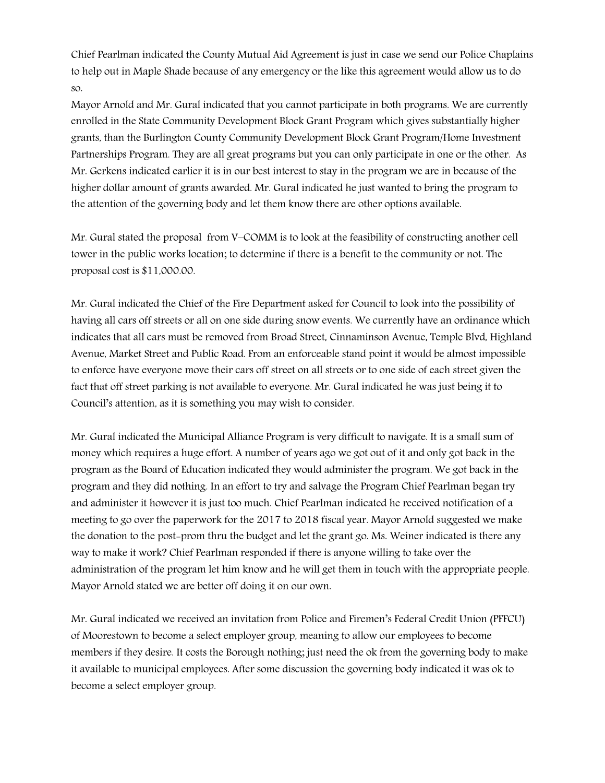Chief Pearlman indicated the County Mutual Aid Agreement is just in case we send our Police Chaplains to help out in Maple Shade because of any emergency or the like this agreement would allow us to do so.

Mayor Arnold and Mr. Gural indicated that you cannot participate in both programs. We are currently enrolled in the State Community Development Block Grant Program which gives substantially higher grants, than the Burlington County Community Development Block Grant Program/Home Investment Partnerships Program. They are all great programs but you can only participate in one or the other. As Mr. Gerkens indicated earlier it is in our best interest to stay in the program we are in because of the higher dollar amount of grants awarded. Mr. Gural indicated he just wanted to bring the program to the attention of the governing body and let them know there are other options available.

Mr. Gural stated the proposal from V–COMM is to look at the feasibility of constructing another cell tower in the public works location; to determine if there is a benefit to the community or not. The proposal cost is \$11,000.00.

Mr. Gural indicated the Chief of the Fire Department asked for Council to look into the possibility of having all cars off streets or all on one side during snow events. We currently have an ordinance which indicates that all cars must be removed from Broad Street, Cinnaminson Avenue, Temple Blvd, Highland Avenue, Market Street and Public Road. From an enforceable stand point it would be almost impossible to enforce have everyone move their cars off street on all streets or to one side of each street given the fact that off street parking is not available to everyone. Mr. Gural indicated he was just being it to Council's attention, as it is something you may wish to consider.

Mr. Gural indicated the Municipal Alliance Program is very difficult to navigate. It is a small sum of money which requires a huge effort. A number of years ago we got out of it and only got back in the program as the Board of Education indicated they would administer the program. We got back in the program and they did nothing. In an effort to try and salvage the Program Chief Pearlman began try and administer it however it is just too much. Chief Pearlman indicated he received notification of a meeting to go over the paperwork for the 2017 to 2018 fiscal year. Mayor Arnold suggested we make the donation to the post-prom thru the budget and let the grant go. Ms. Weiner indicated is there any way to make it work? Chief Pearlman responded if there is anyone willing to take over the administration of the program let him know and he will get them in touch with the appropriate people. Mayor Arnold stated we are better off doing it on our own.

Mr. Gural indicated we received an invitation from Police and Firemen's Federal Credit Union (PFFCU) of Moorestown to become a select employer group, meaning to allow our employees to become members if they desire. It costs the Borough nothing; just need the ok from the governing body to make it available to municipal employees. After some discussion the governing body indicated it was ok to become a select employer group.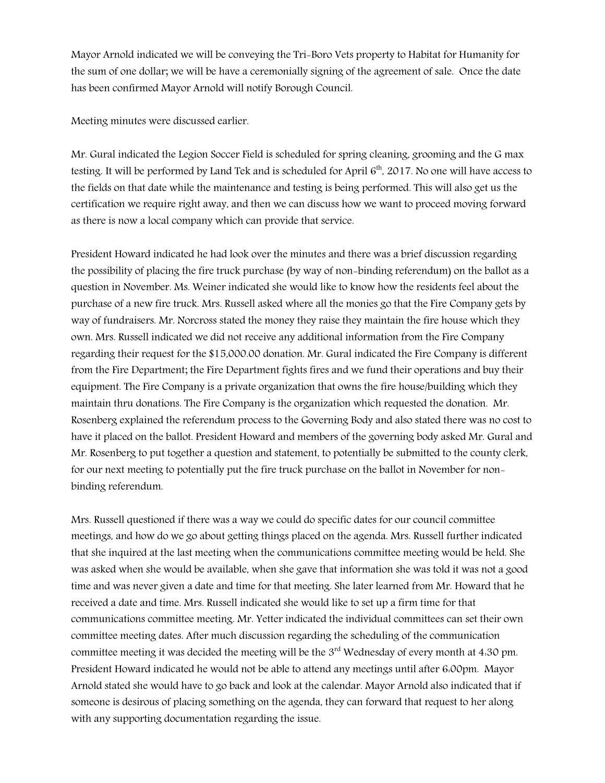Mayor Arnold indicated we will be conveying the Tri-Boro Vets property to Habitat for Humanity for the sum of one dollar; we will be have a ceremonially signing of the agreement of sale. Once the date has been confirmed Mayor Arnold will notify Borough Council.

Meeting minutes were discussed earlier.

Mr. Gural indicated the Legion Soccer Field is scheduled for spring cleaning, grooming and the G max testing. It will be performed by Land Tek and is scheduled for April  $6<sup>th</sup>$ , 2017. No one will have access to the fields on that date while the maintenance and testing is being performed. This will also get us the certification we require right away, and then we can discuss how we want to proceed moving forward as there is now a local company which can provide that service.

President Howard indicated he had look over the minutes and there was a brief discussion regarding the possibility of placing the fire truck purchase (by way of non-binding referendum) on the ballot as a question in November. Ms. Weiner indicated she would like to know how the residents feel about the purchase of a new fire truck. Mrs. Russell asked where all the monies go that the Fire Company gets by way of fundraisers. Mr. Norcross stated the money they raise they maintain the fire house which they own. Mrs. Russell indicated we did not receive any additional information from the Fire Company regarding their request for the \$15,000.00 donation. Mr. Gural indicated the Fire Company is different from the Fire Department; the Fire Department fights fires and we fund their operations and buy their equipment. The Fire Company is a private organization that owns the fire house/building which they maintain thru donations. The Fire Company is the organization which requested the donation. Mr. Rosenberg explained the referendum process to the Governing Body and also stated there was no cost to have it placed on the ballot. President Howard and members of the governing body asked Mr. Gural and Mr. Rosenberg to put together a question and statement, to potentially be submitted to the county clerk, for our next meeting to potentially put the fire truck purchase on the ballot in November for nonbinding referendum.

Mrs. Russell questioned if there was a way we could do specific dates for our council committee meetings, and how do we go about getting things placed on the agenda. Mrs. Russell further indicated that she inquired at the last meeting when the communications committee meeting would be held. She was asked when she would be available, when she gave that information she was told it was not a good time and was never given a date and time for that meeting. She later learned from Mr. Howard that he received a date and time. Mrs. Russell indicated she would like to set up a firm time for that communications committee meeting. Mr. Yetter indicated the individual committees can set their own committee meeting dates. After much discussion regarding the scheduling of the communication committee meeting it was decided the meeting will be the 3<sup>rd</sup> Wednesday of every month at 4:30 pm. President Howard indicated he would not be able to attend any meetings until after 6:00pm. Mayor Arnold stated she would have to go back and look at the calendar. Mayor Arnold also indicated that if someone is desirous of placing something on the agenda, they can forward that request to her along with any supporting documentation regarding the issue.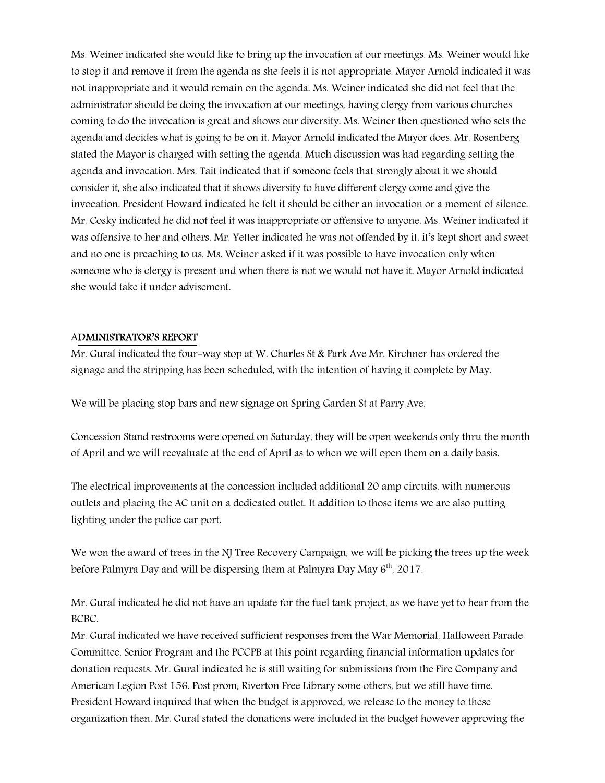Ms. Weiner indicated she would like to bring up the invocation at our meetings. Ms. Weiner would like to stop it and remove it from the agenda as she feels it is not appropriate. Mayor Arnold indicated it was not inappropriate and it would remain on the agenda. Ms. Weiner indicated she did not feel that the administrator should be doing the invocation at our meetings, having clergy from various churches coming to do the invocation is great and shows our diversity. Ms. Weiner then questioned who sets the agenda and decides what is going to be on it. Mayor Arnold indicated the Mayor does. Mr. Rosenberg stated the Mayor is charged with setting the agenda. Much discussion was had regarding setting the agenda and invocation. Mrs. Tait indicated that if someone feels that strongly about it we should consider it, she also indicated that it shows diversity to have different clergy come and give the invocation. President Howard indicated he felt it should be either an invocation or a moment of silence. Mr. Cosky indicated he did not feel it was inappropriate or offensive to anyone. Ms. Weiner indicated it was offensive to her and others. Mr. Yetter indicated he was not offended by it, it's kept short and sweet and no one is preaching to us. Ms. Weiner asked if it was possible to have invocation only when someone who is clergy is present and when there is not we would not have it. Mayor Arnold indicated she would take it under advisement.

#### ADMINISTRATOR'S REPORT

Mr. Gural indicated the four-way stop at W. Charles St & Park Ave Mr. Kirchner has ordered the signage and the stripping has been scheduled, with the intention of having it complete by May.

We will be placing stop bars and new signage on Spring Garden St at Parry Ave.

Concession Stand restrooms were opened on Saturday, they will be open weekends only thru the month of April and we will reevaluate at the end of April as to when we will open them on a daily basis.

The electrical improvements at the concession included additional 20 amp circuits, with numerous outlets and placing the AC unit on a dedicated outlet. It addition to those items we are also putting lighting under the police car port.

We won the award of trees in the NJ Tree Recovery Campaign, we will be picking the trees up the week before Palmyra Day and will be dispersing them at Palmyra Day May  $6<sup>th</sup>$ , 2017.

Mr. Gural indicated he did not have an update for the fuel tank project, as we have yet to hear from the BCBC.

Mr. Gural indicated we have received sufficient responses from the War Memorial, Halloween Parade Committee, Senior Program and the PCCPB at this point regarding financial information updates for donation requests. Mr. Gural indicated he is still waiting for submissions from the Fire Company and American Legion Post 156. Post prom, Riverton Free Library some others, but we still have time. President Howard inquired that when the budget is approved, we release to the money to these organization then. Mr. Gural stated the donations were included in the budget however approving the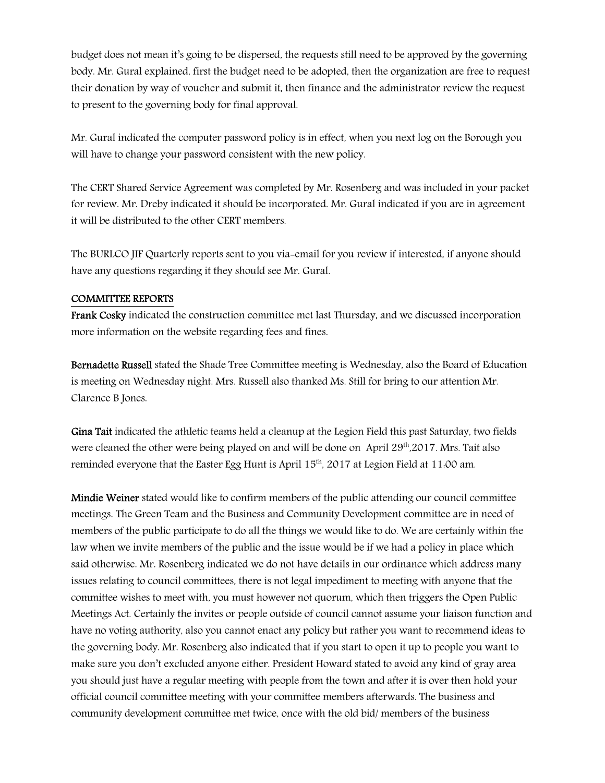budget does not mean it's going to be dispersed, the requests still need to be approved by the governing body. Mr. Gural explained, first the budget need to be adopted, then the organization are free to request their donation by way of voucher and submit it, then finance and the administrator review the request to present to the governing body for final approval.

Mr. Gural indicated the computer password policy is in effect, when you next log on the Borough you will have to change your password consistent with the new policy.

The CERT Shared Service Agreement was completed by Mr. Rosenberg and was included in your packet for review. Mr. Dreby indicated it should be incorporated. Mr. Gural indicated if you are in agreement it will be distributed to the other CERT members.

The BURLCO JIF Quarterly reports sent to you via-email for you review if interested, if anyone should have any questions regarding it they should see Mr. Gural.

#### COMMITTEE REPORTS

Frank Cosky indicated the construction committee met last Thursday, and we discussed incorporation more information on the website regarding fees and fines.

Bernadette Russell stated the Shade Tree Committee meeting is Wednesday, also the Board of Education is meeting on Wednesday night. Mrs. Russell also thanked Ms. Still for bring to our attention Mr. Clarence B Jones.

Gina Tait indicated the athletic teams held a cleanup at the Legion Field this past Saturday, two fields were cleaned the other were being played on and will be done on April 29<sup>th</sup>,2017. Mrs. Tait also reminded everyone that the Easter Egg Hunt is April 15<sup>th</sup>, 2017 at Legion Field at 11:00 am.

Mindie Weiner stated would like to confirm members of the public attending our council committee meetings. The Green Team and the Business and Community Development committee are in need of members of the public participate to do all the things we would like to do. We are certainly within the law when we invite members of the public and the issue would be if we had a policy in place which said otherwise. Mr. Rosenberg indicated we do not have details in our ordinance which address many issues relating to council committees, there is not legal impediment to meeting with anyone that the committee wishes to meet with, you must however not quorum, which then triggers the Open Public Meetings Act. Certainly the invites or people outside of council cannot assume your liaison function and have no voting authority, also you cannot enact any policy but rather you want to recommend ideas to the governing body. Mr. Rosenberg also indicated that if you start to open it up to people you want to make sure you don't excluded anyone either. President Howard stated to avoid any kind of gray area you should just have a regular meeting with people from the town and after it is over then hold your official council committee meeting with your committee members afterwards. The business and community development committee met twice, once with the old bid/ members of the business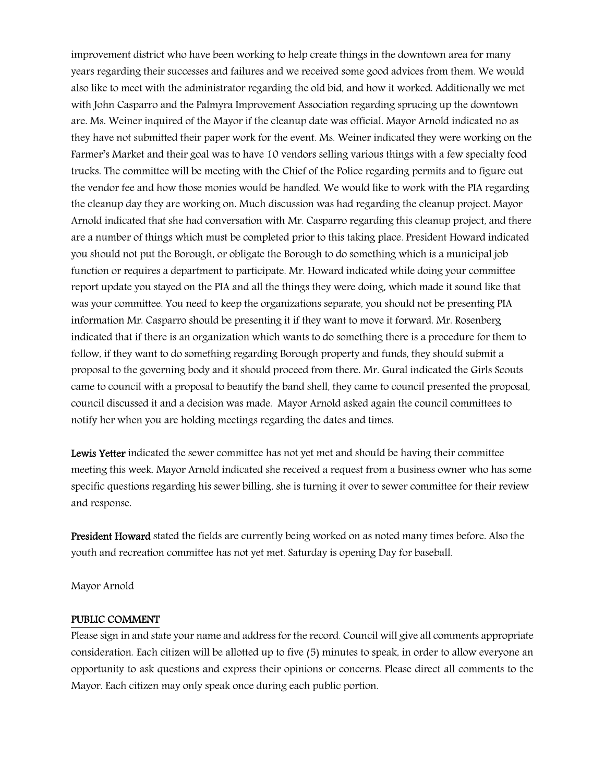improvement district who have been working to help create things in the downtown area for many years regarding their successes and failures and we received some good advices from them. We would also like to meet with the administrator regarding the old bid, and how it worked. Additionally we met with John Casparro and the Palmyra Improvement Association regarding sprucing up the downtown are. Ms. Weiner inquired of the Mayor if the cleanup date was official. Mayor Arnold indicated no as they have not submitted their paper work for the event. Ms. Weiner indicated they were working on the Farmer's Market and their goal was to have 10 vendors selling various things with a few specialty food trucks. The committee will be meeting with the Chief of the Police regarding permits and to figure out the vendor fee and how those monies would be handled. We would like to work with the PIA regarding the cleanup day they are working on. Much discussion was had regarding the cleanup project. Mayor Arnold indicated that she had conversation with Mr. Casparro regarding this cleanup project, and there are a number of things which must be completed prior to this taking place. President Howard indicated you should not put the Borough, or obligate the Borough to do something which is a municipal job function or requires a department to participate. Mr. Howard indicated while doing your committee report update you stayed on the PIA and all the things they were doing, which made it sound like that was your committee. You need to keep the organizations separate, you should not be presenting PIA information Mr. Casparro should be presenting it if they want to move it forward. Mr. Rosenberg indicated that if there is an organization which wants to do something there is a procedure for them to follow, if they want to do something regarding Borough property and funds, they should submit a proposal to the governing body and it should proceed from there. Mr. Gural indicated the Girls Scouts came to council with a proposal to beautify the band shell, they came to council presented the proposal, council discussed it and a decision was made. Mayor Arnold asked again the council committees to notify her when you are holding meetings regarding the dates and times.

Lewis Yetter indicated the sewer committee has not yet met and should be having their committee meeting this week. Mayor Arnold indicated she received a request from a business owner who has some specific questions regarding his sewer billing, she is turning it over to sewer committee for their review and response.

President Howard stated the fields are currently being worked on as noted many times before. Also the youth and recreation committee has not yet met. Saturday is opening Day for baseball.

Mayor Arnold

#### PUBLIC COMMENT

Please sign in and state your name and address for the record. Council will give all comments appropriate consideration. Each citizen will be allotted up to five (5) minutes to speak, in order to allow everyone an opportunity to ask questions and express their opinions or concerns. Please direct all comments to the Mayor. Each citizen may only speak once during each public portion.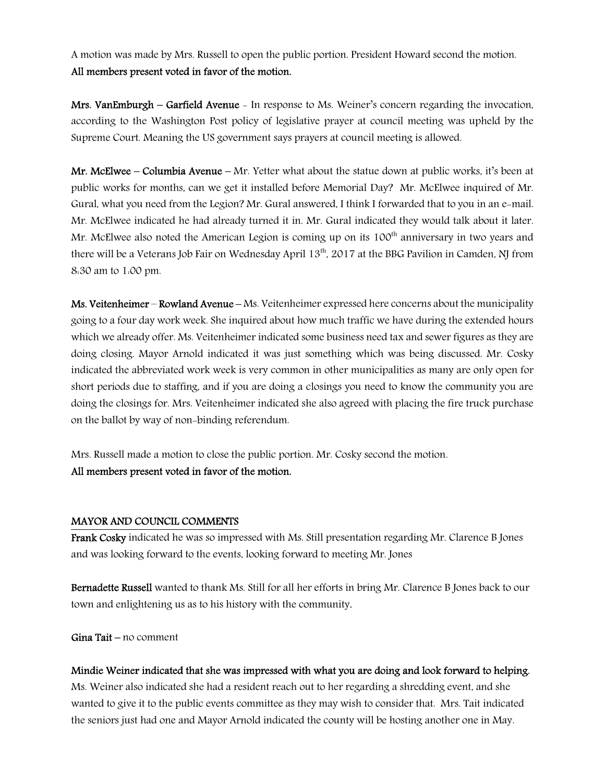A motion was made by Mrs. Russell to open the public portion. President Howard second the motion. All members present voted in favor of the motion.

Mrs. VanEmburgh – Garfield Avenue - In response to Ms. Weiner's concern regarding the invocation, according to the Washington Post policy of legislative prayer at council meeting was upheld by the Supreme Court. Meaning the US government says prayers at council meeting is allowed.

**Mr. McElwee – Columbia Avenue –** Mr. Yetter what about the statue down at public works, it's been at public works for months, can we get it installed before Memorial Day? Mr. McElwee inquired of Mr. Gural, what you need from the Legion? Mr. Gural answered, I think I forwarded that to you in an e-mail. Mr. McElwee indicated he had already turned it in. Mr. Gural indicated they would talk about it later. Mr. McElwee also noted the American Legion is coming up on its 100<sup>th</sup> anniversary in two years and there will be a Veterans Job Fair on Wednesday April 13<sup>th</sup>, 2017 at the BBG Pavilion in Camden, NJ from 8:30 am to 1:00 pm.

Ms. Veitenheimer – Rowland Avenue – Ms. Veitenheimer expressed here concerns about the municipality going to a four day work week. She inquired about how much traffic we have during the extended hours which we already offer. Ms. Veitenheimer indicated some business need tax and sewer figures as they are doing closing. Mayor Arnold indicated it was just something which was being discussed. Mr. Cosky indicated the abbreviated work week is very common in other municipalities as many are only open for short periods due to staffing, and if you are doing a closings you need to know the community you are doing the closings for. Mrs. Veitenheimer indicated she also agreed with placing the fire truck purchase on the ballot by way of non-binding referendum.

Mrs. Russell made a motion to close the public portion. Mr. Cosky second the motion. All members present voted in favor of the motion.

#### MAYOR AND COUNCIL COMMENTS

Frank Cosky indicated he was so impressed with Ms. Still presentation regarding Mr. Clarence B Jones and was looking forward to the events, looking forward to meeting Mr. Jones

Bernadette Russell wanted to thank Ms. Still for all her efforts in bring Mr. Clarence B Jones back to our town and enlightening us as to his history with the community.

Gina Tait – no comment

Mindie Weiner indicated that she was impressed with what you are doing and look forward to helping. Ms. Weiner also indicated she had a resident reach out to her regarding a shredding event, and she wanted to give it to the public events committee as they may wish to consider that. Mrs. Tait indicated the seniors just had one and Mayor Arnold indicated the county will be hosting another one in May.